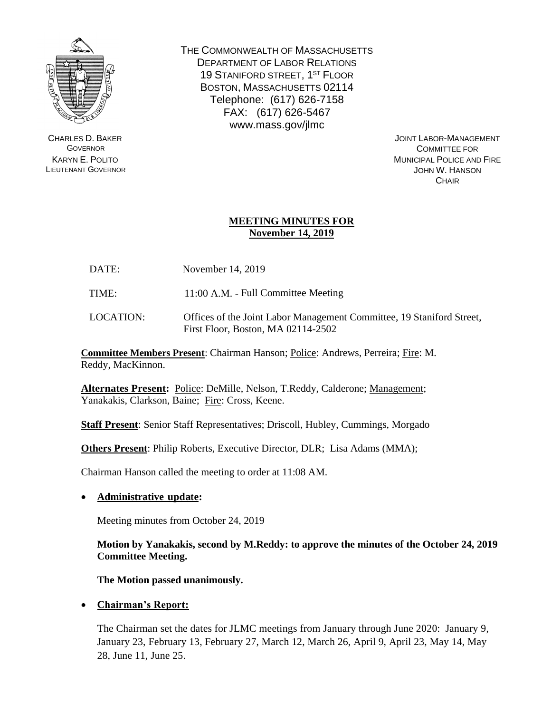

CHARLES D. BAKER **GOVERNOR** KARYN E. POLITO LIEUTENANT GOVERNOR THE COMMONWEALTH OF MASSACHUSETTS DEPARTMENT OF LABOR RELATIONS 19 STANIFORD STREET, 1<sup>ST</sup> FLOOR BOSTON, MASSACHUSETTS 02114 Telephone: (617) 626-7158 FAX: (617) 626-5467 www.mass.gov/jlmc

> JOINT LABOR-MANAGEMENT COMMITTEE FOR MUNICIPAL POLICE AND FIRE JOHN W. HANSON **CHAIR**

# **MEETING MINUTES FOR November 14, 2019**

DATE: November 14, 2019

TIME: 11:00 A.M. - Full Committee Meeting

LOCATION: Offices of the Joint Labor Management Committee, 19 Staniford Street, First Floor, Boston, MA 02114-2502

**Committee Members Present**: Chairman Hanson; Police: Andrews, Perreira; Fire: M. Reddy, MacKinnon.

**Alternates Present:** Police: DeMille, Nelson, T.Reddy, Calderone; Management; Yanakakis, Clarkson, Baine; Fire: Cross, Keene.

**Staff Present**: Senior Staff Representatives; Driscoll, Hubley, Cummings, Morgado

**Others Present**: Philip Roberts, Executive Director, DLR; Lisa Adams (MMA);

Chairman Hanson called the meeting to order at 11:08 AM.

# • **Administrative update:**

Meeting minutes from October 24, 2019

**Motion by Yanakakis, second by M.Reddy: to approve the minutes of the October 24, 2019 Committee Meeting.**

**The Motion passed unanimously.**

• **Chairman's Report:**

The Chairman set the dates for JLMC meetings from January through June 2020: January 9, January 23, February 13, February 27, March 12, March 26, April 9, April 23, May 14, May 28, June 11, June 25.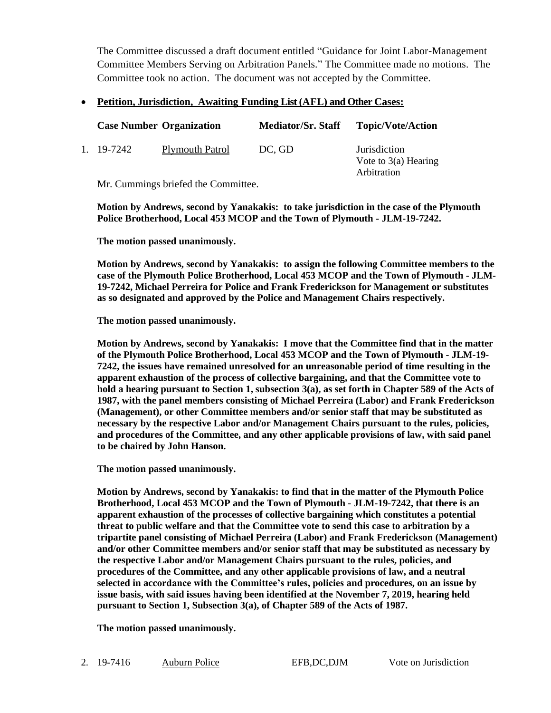The Committee discussed a draft document entitled "Guidance for Joint Labor-Management Committee Members Serving on Arbitration Panels." The Committee made no motions. The Committee took no action. The document was not accepted by the Committee.

## • **Petition, Jurisdiction, Awaiting Funding List (AFL) and Other Cases:**

| <b>Case Number Organization</b>                                             |                        | <b>Mediator/Sr. Staff</b> | <b>Topic/Vote/Action</b>                                     |  |
|-----------------------------------------------------------------------------|------------------------|---------------------------|--------------------------------------------------------------|--|
| 1. 19-7242                                                                  | <b>Plymouth Patrol</b> | DC, GD                    | <i>Jurisdiction</i><br>Vote to $3(a)$ Hearing<br>Arbitration |  |
| $M_{\rm H}$ $C_{\rm{measured}}$ is the limit of all the $C_{\rm{measured}}$ |                        |                           |                                                              |  |

Mr. Cummings briefed the Committee.

**Motion by Andrews, second by Yanakakis: to take jurisdiction in the case of the Plymouth Police Brotherhood, Local 453 MCOP and the Town of Plymouth - JLM-19-7242.**

**The motion passed unanimously.**

**Motion by Andrews, second by Yanakakis: to assign the following Committee members to the case of the Plymouth Police Brotherhood, Local 453 MCOP and the Town of Plymouth - JLM-19-7242, Michael Perreira for Police and Frank Frederickson for Management or substitutes as so designated and approved by the Police and Management Chairs respectively.**

**The motion passed unanimously.**

**Motion by Andrews, second by Yanakakis: I move that the Committee find that in the matter of the Plymouth Police Brotherhood, Local 453 MCOP and the Town of Plymouth - JLM-19- 7242, the issues have remained unresolved for an unreasonable period of time resulting in the apparent exhaustion of the process of collective bargaining, and that the Committee vote to hold a hearing pursuant to Section 1, subsection 3(a), as set forth in Chapter 589 of the Acts of 1987, with the panel members consisting of Michael Perreira (Labor) and Frank Frederickson (Management), or other Committee members and/or senior staff that may be substituted as necessary by the respective Labor and/or Management Chairs pursuant to the rules, policies, and procedures of the Committee, and any other applicable provisions of law, with said panel to be chaired by John Hanson.**

**The motion passed unanimously.**

**Motion by Andrews, second by Yanakakis: to find that in the matter of the Plymouth Police Brotherhood, Local 453 MCOP and the Town of Plymouth - JLM-19-7242, that there is an apparent exhaustion of the processes of collective bargaining which constitutes a potential threat to public welfare and that the Committee vote to send this case to arbitration by a tripartite panel consisting of Michael Perreira (Labor) and Frank Frederickson (Management) and/or other Committee members and/or senior staff that may be substituted as necessary by the respective Labor and/or Management Chairs pursuant to the rules, policies, and procedures of the Committee, and any other applicable provisions of law, and a neutral selected in accordance with the Committee's rules, policies and procedures, on an issue by issue basis, with said issues having been identified at the November 7, 2019, hearing held pursuant to Section 1, Subsection 3(a), of Chapter 589 of the Acts of 1987.**

**The motion passed unanimously.**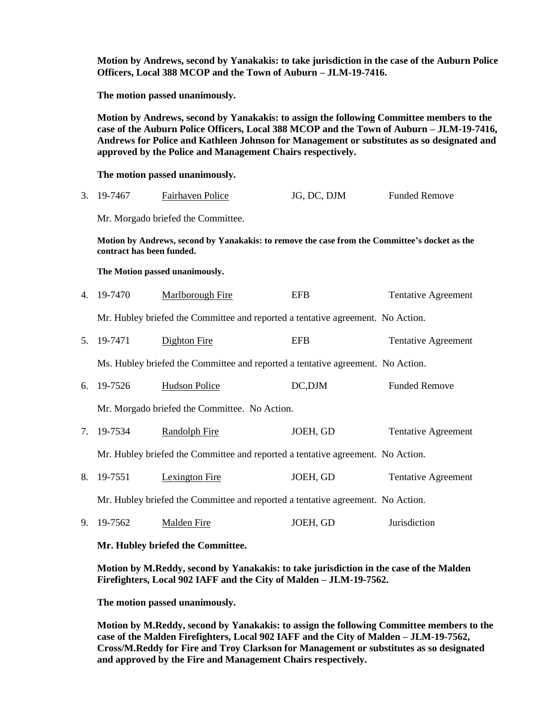**Motion by Andrews, second by Yanakakis: to take jurisdiction in the case of the Auburn Police Officers, Local 388 MCOP and the Town of Auburn – JLM-19-7416.**

**The motion passed unanimously.**

**Motion by Andrews, second by Yanakakis: to assign the following Committee members to the case of the Auburn Police Officers, Local 388 MCOP and the Town of Auburn – JLM-19-7416, Andrews for Police and Kathleen Johnson for Management or substitutes as so designated and approved by the Police and Management Chairs respectively.**

**The motion passed unanimously.**

| 3. 19-7467<br><b>Fairhaven Police</b> | JG, DC, DJM | <b>Funded Remove</b> |
|---------------------------------------|-------------|----------------------|
|---------------------------------------|-------------|----------------------|

Mr. Morgado briefed the Committee.

**Motion by Andrews, second by Yanakakis: to remove the case from the Committee's docket as the contract has been funded.**

**The Motion passed unanimously.**

| 4. 19-7470 | Marlborough Fire | <b>EFB</b> | <b>Tentative Agreement</b> |
|------------|------------------|------------|----------------------------|
|            |                  |            |                            |

Mr. Hubley briefed the Committee and reported a tentative agreement. No Action.

5. 19-7471 Dighton Fire EFB Tentative Agreement

Ms. Hubley briefed the Committee and reported a tentative agreement. No Action.

6. 19-7526 Hudson Police DC,DJM Funded Remove

Mr. Morgado briefed the Committee. No Action.

7. 19-7534 Randolph Fire JOEH, GD Tentative Agreement

Mr. Hubley briefed the Committee and reported a tentative agreement. No Action.

8. 19-7551 Lexington Fire JOEH, GD Tentative Agreement

Mr. Hubley briefed the Committee and reported a tentative agreement. No Action.

9. 19-7562 Malden Fire JOEH, GD Jurisdiction

**Mr. Hubley briefed the Committee.**

**Motion by M.Reddy, second by Yanakakis: to take jurisdiction in the case of the Malden Firefighters, Local 902 IAFF and the City of Malden – JLM-19-7562.**

**The motion passed unanimously.**

**Motion by M.Reddy, second by Yanakakis: to assign the following Committee members to the case of the Malden Firefighters, Local 902 IAFF and the City of Malden – JLM-19-7562, Cross/M.Reddy for Fire and Troy Clarkson for Management or substitutes as so designated and approved by the Fire and Management Chairs respectively.**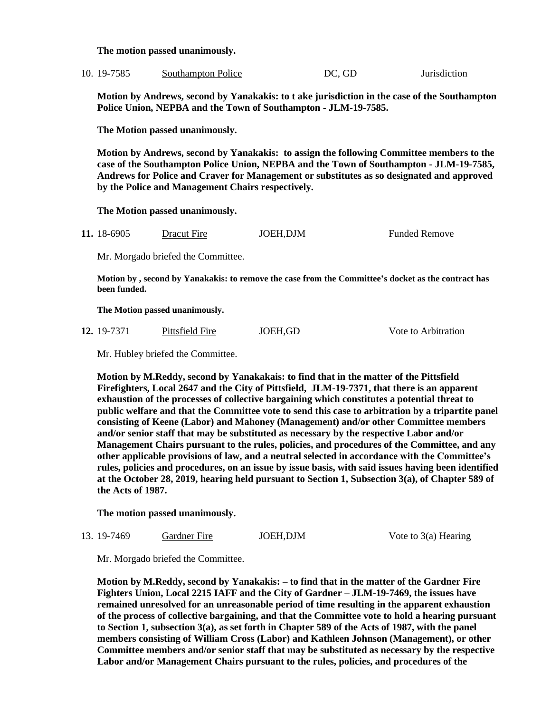**The motion passed unanimously.**

| 10. 19-7585 | Southampton Police | DC, GD | Jurisdiction |
|-------------|--------------------|--------|--------------|
|             |                    |        |              |

**Motion by Andrews, second by Yanakakis: to t ake jurisdiction in the case of the Southampton Police Union, NEPBA and the Town of Southampton - JLM-19-7585.**

**The Motion passed unanimously.**

**Motion by Andrews, second by Yanakakis: to assign the following Committee members to the case of the Southampton Police Union, NEPBA and the Town of Southampton - JLM-19-7585, Andrews for Police and Craver for Management or substitutes as so designated and approved by the Police and Management Chairs respectively.**

**The Motion passed unanimously.**

**11.** 18-6905 Dracut Fire JOEH,DJM Funded Remove

Mr. Morgado briefed the Committee.

**Motion by , second by Yanakakis: to remove the case from the Committee's docket as the contract has been funded.**

**The Motion passed unanimously.**

| 12. 19-7371 | Pittsfield Fire | JOEH,GD | Vote to Arbitration |
|-------------|-----------------|---------|---------------------|
|             |                 |         |                     |

Mr. Hubley briefed the Committee.

**Motion by M.Reddy, second by Yanakakais: to find that in the matter of the Pittsfield Firefighters, Local 2647 and the City of Pittsfield, JLM-19-7371, that there is an apparent exhaustion of the processes of collective bargaining which constitutes a potential threat to public welfare and that the Committee vote to send this case to arbitration by a tripartite panel consisting of Keene (Labor) and Mahoney (Management) and/or other Committee members and/or senior staff that may be substituted as necessary by the respective Labor and/or Management Chairs pursuant to the rules, policies, and procedures of the Committee, and any other applicable provisions of law, and a neutral selected in accordance with the Committee's rules, policies and procedures, on an issue by issue basis, with said issues having been identified at the October 28, 2019, hearing held pursuant to Section 1, Subsection 3(a), of Chapter 589 of the Acts of 1987.**

**The motion passed unanimously.**

#### 13. 19-7469 Gardner Fire JOEH,DJM Vote to 3(a) Hearing

Mr. Morgado briefed the Committee.

**Motion by M.Reddy, second by Yanakakis: – to find that in the matter of the Gardner Fire Fighters Union, Local 2215 IAFF and the City of Gardner – JLM-19-7469, the issues have remained unresolved for an unreasonable period of time resulting in the apparent exhaustion of the process of collective bargaining, and that the Committee vote to hold a hearing pursuant to Section 1, subsection 3(a), as set forth in Chapter 589 of the Acts of 1987, with the panel members consisting of William Cross (Labor) and Kathleen Johnson (Management), or other Committee members and/or senior staff that may be substituted as necessary by the respective Labor and/or Management Chairs pursuant to the rules, policies, and procedures of the**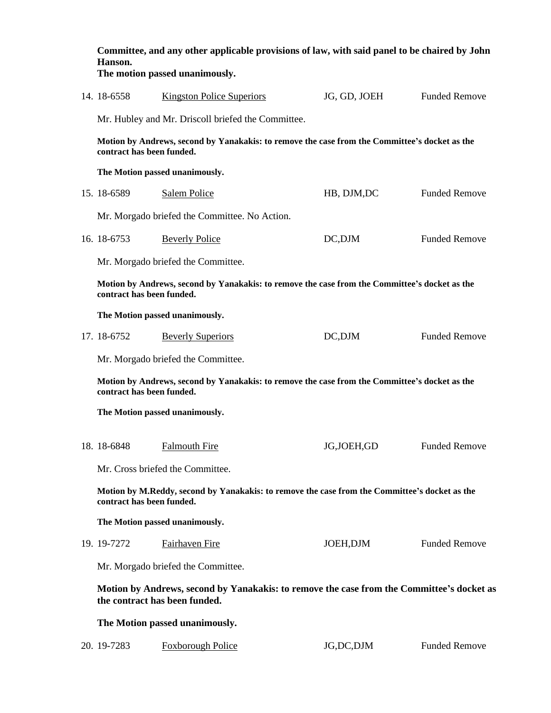| Committee, and any other applicable provisions of law, with said panel to be chaired by John<br>Hanson.<br>The motion passed unanimously. |                                                                                                                            |              |                      |
|-------------------------------------------------------------------------------------------------------------------------------------------|----------------------------------------------------------------------------------------------------------------------------|--------------|----------------------|
| 14. 18-6558                                                                                                                               | <b>Kingston Police Superiors</b>                                                                                           | JG, GD, JOEH | <b>Funded Remove</b> |
|                                                                                                                                           | Mr. Hubley and Mr. Driscoll briefed the Committee.                                                                         |              |                      |
| Motion by Andrews, second by Yanakakis: to remove the case from the Committee's docket as the<br>contract has been funded.                |                                                                                                                            |              |                      |
|                                                                                                                                           | The Motion passed unanimously.                                                                                             |              |                      |
| 15. 18-6589                                                                                                                               | <b>Salem Police</b>                                                                                                        | HB, DJM, DC  | <b>Funded Remove</b> |
|                                                                                                                                           | Mr. Morgado briefed the Committee. No Action.                                                                              |              |                      |
| 16. 18-6753                                                                                                                               | <b>Beverly Police</b>                                                                                                      | DC,DJM       | <b>Funded Remove</b> |
|                                                                                                                                           | Mr. Morgado briefed the Committee.                                                                                         |              |                      |
| Motion by Andrews, second by Yanakakis: to remove the case from the Committee's docket as the<br>contract has been funded.                |                                                                                                                            |              |                      |
| The Motion passed unanimously.                                                                                                            |                                                                                                                            |              |                      |
| 17. 18-6752                                                                                                                               | <b>Beverly Superiors</b>                                                                                                   | DC,DJM       | <b>Funded Remove</b> |
|                                                                                                                                           | Mr. Morgado briefed the Committee.                                                                                         |              |                      |
| Motion by Andrews, second by Yanakakis: to remove the case from the Committee's docket as the<br>contract has been funded.                |                                                                                                                            |              |                      |
| The Motion passed unanimously.                                                                                                            |                                                                                                                            |              |                      |
| 18. 18-6848 Falmouth Fire                                                                                                                 |                                                                                                                            | JG,JOEH,GD   | <b>Funded Remove</b> |
|                                                                                                                                           | Mr. Cross briefed the Committee.                                                                                           |              |                      |
| Motion by M.Reddy, second by Yanakakis: to remove the case from the Committee's docket as the<br>contract has been funded.                |                                                                                                                            |              |                      |
| The Motion passed unanimously.                                                                                                            |                                                                                                                            |              |                      |
| 19. 19-7272                                                                                                                               | Fairhaven Fire                                                                                                             | JOEH, DJM    | <b>Funded Remove</b> |
|                                                                                                                                           | Mr. Morgado briefed the Committee.                                                                                         |              |                      |
|                                                                                                                                           | Motion by Andrews, second by Yanakakis: to remove the case from the Committee's docket as<br>the contract has been funded. |              |                      |
| The Motion passed unanimously.                                                                                                            |                                                                                                                            |              |                      |
| 20. 19-7283                                                                                                                               | <b>Foxborough Police</b>                                                                                                   | JG,DC,DJM    | <b>Funded Remove</b> |